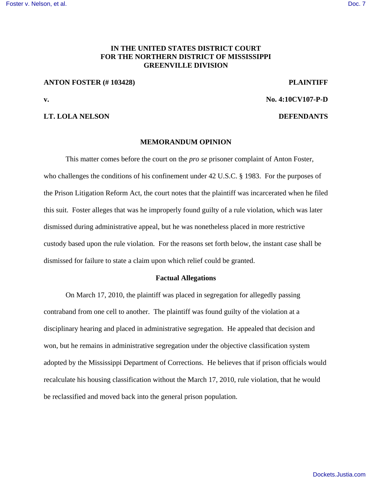# **IN THE UNITED STATES DISTRICT COURT FOR THE NORTHERN DISTRICT OF MISSISSIPPI GREENVILLE DIVISION**

## **ANTON FOSTER (# 103428) PLAINTIFF**

**v. No. 4:10CV107-P-D**

## **LT. LOLA NELSON DEFENDANTS**

### **MEMORANDUM OPINION**

This matter comes before the court on the *pro se* prisoner complaint of Anton Foster, who challenges the conditions of his confinement under 42 U.S.C. § 1983. For the purposes of the Prison Litigation Reform Act, the court notes that the plaintiff was incarcerated when he filed this suit. Foster alleges that was he improperly found guilty of a rule violation, which was later dismissed during administrative appeal, but he was nonetheless placed in more restrictive custody based upon the rule violation. For the reasons set forth below, the instant case shall be dismissed for failure to state a claim upon which relief could be granted.

## **Factual Allegations**

On March 17, 2010, the plaintiff was placed in segregation for allegedly passing contraband from one cell to another. The plaintiff was found guilty of the violation at a disciplinary hearing and placed in administrative segregation. He appealed that decision and won, but he remains in administrative segregation under the objective classification system adopted by the Mississippi Department of Corrections. He believes that if prison officials would recalculate his housing classification without the March 17, 2010, rule violation, that he would be reclassified and moved back into the general prison population.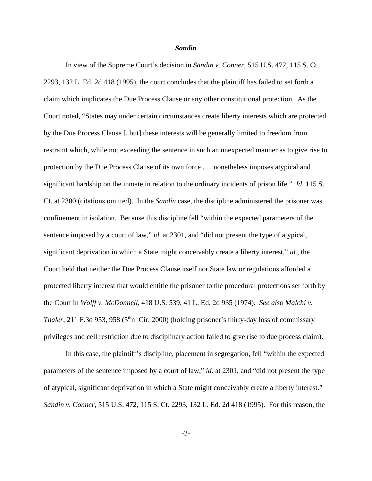### *Sandin*

In view of the Supreme Court's decision in *Sandin v. Conner*, 515 U.S. 472, 115 S. Ct. 2293, 132 L. Ed. 2d 418 (1995), the court concludes that the plaintiff has failed to set forth a claim which implicates the Due Process Clause or any other constitutional protection. As the Court noted, "States may under certain circumstances create liberty interests which are protected by the Due Process Clause [, but] these interests will be generally limited to freedom from restraint which, while not exceeding the sentence in such an unexpected manner as to give rise to protection by the Due Process Clause of its own force . . . nonetheless imposes atypical and significant hardship on the inmate in relation to the ordinary incidents of prison life." *Id.* 115 S. Ct. at 2300 (citations omitted). In the *Sandin* case, the discipline administered the prisoner was confinement in isolation. Because this discipline fell "within the expected parameters of the sentence imposed by a court of law," *id*. at 2301, and "did not present the type of atypical, significant deprivation in which a State might conceivably create a liberty interest," *id*., the Court held that neither the Due Process Clause itself nor State law or regulations afforded a protected liberty interest that would entitle the prisoner to the procedural protections set forth by the Court in *Wolff v. McDonnell*, 418 U.S. 539, 41 L. Ed. 2d 935 (1974). *See also Malchi v. Thaler*, 211 F.3d 953, 958 (5<sup>th</sup>n Cir. 2000) (holding prisoner's thirty-day loss of commissary privileges and cell restriction due to disciplinary action failed to give rise to due process claim).

In this case, the plaintiff's discipline, placement in segregation, fell "within the expected parameters of the sentence imposed by a court of law," *id*. at 2301, and "did not present the type of atypical, significant deprivation in which a State might conceivably create a liberty interest." *Sandin v. Conner*, 515 U.S. 472, 115 S. Ct. 2293, 132 L. Ed. 2d 418 (1995). For this reason, the

-2-